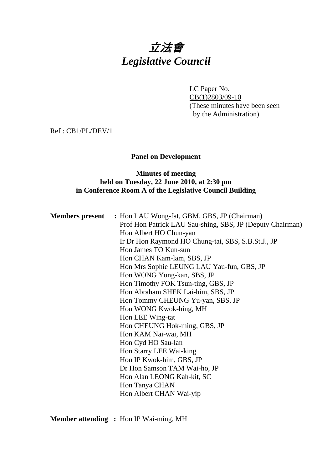# 立法會 *Legislative Council*

LC Paper No. CB(1)2803/09-10 (These minutes have been seen by the Administration)

Ref : CB1/PL/DEV/1

## **Panel on Development**

## **Minutes of meeting held on Tuesday, 22 June 2010, at 2:30 pm in Conference Room A of the Legislative Council Building**

| <b>Members present</b> : Hon LAU Wong-fat, GBM, GBS, JP (Chairman) |  |  |  |  |  |
|--------------------------------------------------------------------|--|--|--|--|--|
| Prof Hon Patrick LAU Sau-shing, SBS, JP (Deputy Chairman)          |  |  |  |  |  |
| Hon Albert HO Chun-yan                                             |  |  |  |  |  |
| Ir Dr Hon Raymond HO Chung-tai, SBS, S.B.St.J., JP                 |  |  |  |  |  |
| Hon James TO Kun-sun                                               |  |  |  |  |  |
| Hon CHAN Kam-lam, SBS, JP                                          |  |  |  |  |  |
| Hon Mrs Sophie LEUNG LAU Yau-fun, GBS, JP                          |  |  |  |  |  |
| Hon WONG Yung-kan, SBS, JP                                         |  |  |  |  |  |
| Hon Timothy FOK Tsun-ting, GBS, JP                                 |  |  |  |  |  |
| Hon Abraham SHEK Lai-him, SBS, JP                                  |  |  |  |  |  |
| Hon Tommy CHEUNG Yu-yan, SBS, JP                                   |  |  |  |  |  |
| Hon WONG Kwok-hing, MH                                             |  |  |  |  |  |
| Hon LEE Wing-tat                                                   |  |  |  |  |  |
| Hon CHEUNG Hok-ming, GBS, JP                                       |  |  |  |  |  |
| Hon KAM Nai-wai, MH                                                |  |  |  |  |  |
| Hon Cyd HO Sau-lan                                                 |  |  |  |  |  |
| Hon Starry LEE Wai-king                                            |  |  |  |  |  |
| Hon IP Kwok-him, GBS, JP                                           |  |  |  |  |  |
| Dr Hon Samson TAM Wai-ho, JP                                       |  |  |  |  |  |
| Hon Alan LEONG Kah-kit, SC                                         |  |  |  |  |  |
| Hon Tanya CHAN                                                     |  |  |  |  |  |
| Hon Albert CHAN Wai-yip                                            |  |  |  |  |  |
|                                                                    |  |  |  |  |  |

**Member attending :** Hon IP Wai-ming, MH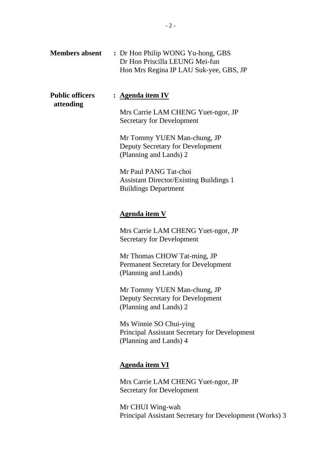| <b>Members absent</b>               | : Dr Hon Philip WONG Yu-hong, GBS<br>Dr Hon Priscilla LEUNG Mei-fun<br>Hon Mrs Regina IP LAU Suk-yee, GBS, JP                                                                                                                                                                                                                                                                                         |
|-------------------------------------|-------------------------------------------------------------------------------------------------------------------------------------------------------------------------------------------------------------------------------------------------------------------------------------------------------------------------------------------------------------------------------------------------------|
| <b>Public officers</b><br>attending | : <u>Agenda item IV</u><br>Mrs Carrie LAM CHENG Yuet-ngor, JP<br><b>Secretary for Development</b><br>Mr Tommy YUEN Man-chung, JP<br>Deputy Secretary for Development<br>(Planning and Lands) 2<br>Mr Paul PANG Tat-choi<br><b>Assistant Director/Existing Buildings 1</b><br><b>Buildings Department</b>                                                                                              |
|                                     | <u>Agenda item V</u><br>Mrs Carrie LAM CHENG Yuet-ngor, JP<br><b>Secretary for Development</b><br>Mr Thomas CHOW Tat-ming, JP<br><b>Permanent Secretary for Development</b><br>(Planning and Lands)<br>Mr Tommy YUEN Man-chung, JP<br>Deputy Secretary for Development<br>(Planning and Lands) 2<br>Ms Winnie SO Chui-ying<br>Principal Assistant Secretary for Development<br>(Planning and Lands) 4 |
|                                     | <b>Agenda item VI</b><br>Mrs Carrie LAM CHENG Yuet-ngor, JP<br><b>Secretary for Development</b>                                                                                                                                                                                                                                                                                                       |

Mr CHUI Wing-wah Principal Assistant Secretary for Development (Works) 3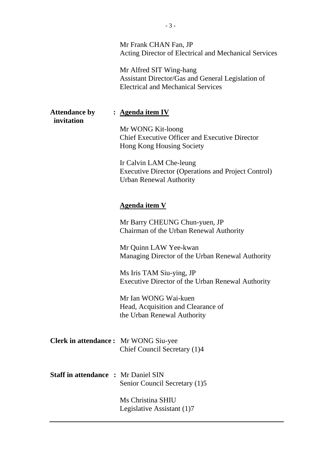|                                            | Mr Frank CHAN Fan, JP<br>Acting Director of Electrical and Mechanical Services                                            |
|--------------------------------------------|---------------------------------------------------------------------------------------------------------------------------|
|                                            | Mr Alfred SIT Wing-hang<br>Assistant Director/Gas and General Legislation of<br><b>Electrical and Mechanical Services</b> |
| <b>Attendance by</b><br>invitation         | : <u>Agenda item IV</u>                                                                                                   |
|                                            | Mr WONG Kit-loong<br><b>Chief Executive Officer and Executive Director</b><br><b>Hong Kong Housing Society</b>            |
|                                            | Ir Calvin LAM Che-leung<br><b>Executive Director (Operations and Project Control)</b><br><b>Urban Renewal Authority</b>   |
|                                            | <b>Agenda item V</b>                                                                                                      |
|                                            | Mr Barry CHEUNG Chun-yuen, JP<br>Chairman of the Urban Renewal Authority                                                  |
|                                            | Mr Quinn LAW Yee-kwan<br>Managing Director of the Urban Renewal Authority                                                 |
|                                            | Ms Iris TAM Siu-ying, JP<br>Executive Director of the Urban Renewal Authority                                             |
|                                            | Mr Ian WONG Wai-kuen<br>Head, Acquisition and Clearance of<br>the Urban Renewal Authority                                 |
| Clerk in attendance: Mr WONG Siu-yee       | Chief Council Secretary (1)4                                                                                              |
| <b>Staff in attendance : Mr Daniel SIN</b> | Senior Council Secretary (1)5                                                                                             |
|                                            | Ms Christina SHIU<br>Legislative Assistant (1)7                                                                           |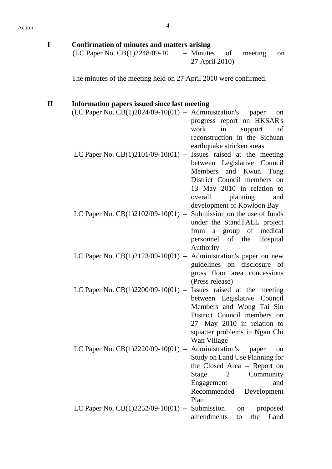| <b>Confirmation of minutes and matters arising</b><br>(LC Paper No. CB(1)2248/09-10                              | -- Minutes<br>of<br>meeting<br>on<br>27 April 2010)                                                                                                                                                            |
|------------------------------------------------------------------------------------------------------------------|----------------------------------------------------------------------------------------------------------------------------------------------------------------------------------------------------------------|
| The minutes of the meeting held on 27 April 2010 were confirmed.                                                 |                                                                                                                                                                                                                |
| <b>Information papers issued since last meeting</b><br>$(LC$ Paper No. $CB(1)2024/09-10(01)$ -- Administration's | paper<br>on                                                                                                                                                                                                    |
| LC Paper No. $CB(1)2101/09-10(01)$ -- Issues raised at the meeting                                               | progress report on HKSAR's<br>work<br>in<br>support<br>of<br>reconstruction in the Sichuan<br>earthquake stricken areas<br>between Legislative Council<br>Members and Kwun Tong<br>District Council members on |
| LC Paper No. $CB(1)2102/09-10(01)$ -- Submission on the use of funds                                             | 13 May 2010 in relation to<br>overall<br>planning<br>and<br>development of Kowloon Bay<br>under the StandTALL project<br>from a group of medical<br>personnel of the Hospital                                  |
| LC Paper No. $CB(1)2123/09-10(01)$ -- Administration's paper on new                                              | Authority<br>guidelines on disclosure of<br>gross floor area concessions                                                                                                                                       |
| LC Paper No. $CB(1)2200/09-10(01)$ -- Issues raised at the meeting                                               | (Press release)<br>between Legislative Council<br>Members and Wong Tai Sin<br>District Council members on<br>27 May 2010 in relation to<br>squatter problems in Ngau Chi                                       |
| LC Paper No. CB(1)2220/09-10(01) --                                                                              | Wan Village<br>Administration's<br>paper<br>on<br>Study on Land Use Planning for<br>the Closed Area -- Report on<br>Community<br>Stage<br>2<br>Engagement<br>and<br>Recommended<br>Development                 |
| LC Paper No. $CB(1)2252/09-10(01)$ -- Submission                                                                 | Plan<br>proposed<br>on<br>amendments<br>Land<br>the<br>to                                                                                                                                                      |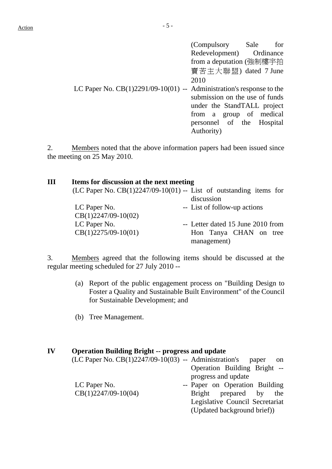|                                                                        | (Compulsory Sale               | for |
|------------------------------------------------------------------------|--------------------------------|-----|
|                                                                        | Redevelopment) Ordinance       |     |
|                                                                        | from a deputation (強制樓宇拍       |     |
|                                                                        | 賣苦主大聯盟) dated 7 June           |     |
|                                                                        | 2010                           |     |
| LC Paper No. $CB(1)2291/09-10(01)$ -- Administration's response to the |                                |     |
|                                                                        | submission on the use of funds |     |
|                                                                        | under the StandTALL project    |     |
|                                                                        | from a group of medical        |     |
|                                                                        | personnel of the Hospital      |     |
|                                                                        | Authority)                     |     |

2. Members noted that the above information papers had been issued since the meeting on 25 May 2010.

| Ш | Items for discussion at the next meeting |                                                                      |  |  |  |  |  |  |  |
|---|------------------------------------------|----------------------------------------------------------------------|--|--|--|--|--|--|--|
|   |                                          | (LC Paper No. $CB(1)2247/09-10(01)$ -- List of outstanding items for |  |  |  |  |  |  |  |
|   |                                          | discussion                                                           |  |  |  |  |  |  |  |
|   | LC Paper No.                             | -- List of follow-up actions                                         |  |  |  |  |  |  |  |
|   | $CB(1)2247/09-10(02)$                    |                                                                      |  |  |  |  |  |  |  |
|   | LC Paper No.                             | -- Letter dated 15 June 2010 from                                    |  |  |  |  |  |  |  |
|   | $CB(1)2275/09-10(01)$                    | Hon Tanya CHAN on tree                                               |  |  |  |  |  |  |  |
|   |                                          | management)                                                          |  |  |  |  |  |  |  |

3. Members agreed that the following items should be discussed at the regular meeting scheduled for 27 July 2010 --

- (a) Report of the public engagement process on "Building Design to Foster a Quality and Sustainable Built Environment" of the Council for Sustainable Development; and
- (b) Tree Management.

#### **IV Operation Building Bright -- progress and update**

|                       | $(LC$ Paper No. $CB(1)2247/09-10(03)$ -- Administration's |  |                                 | paper | on  |
|-----------------------|-----------------------------------------------------------|--|---------------------------------|-------|-----|
|                       |                                                           |  | Operation Building Bright --    |       |     |
|                       |                                                           |  | progress and update             |       |     |
| LC Paper No.          |                                                           |  | -- Paper on Operation Building  |       |     |
| $CB(1)2247/09-10(04)$ |                                                           |  | Bright prepared by              |       | the |
|                       |                                                           |  | Legislative Council Secretariat |       |     |
|                       |                                                           |  | (Updated background brief))     |       |     |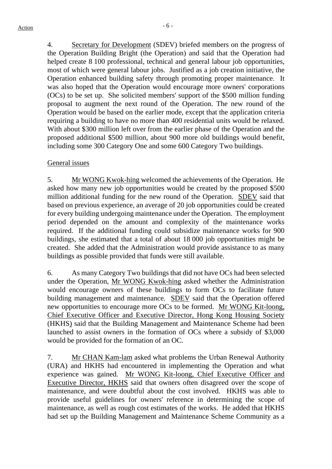4. Secretary for Development (SDEV) briefed members on the progress of the Operation Building Bright (the Operation) and said that the Operation had helped create 8 100 professional, technical and general labour job opportunities, most of which were general labour jobs. Justified as a job creation initiative, the Operation enhanced building safety through promoting proper maintenance. It was also hoped that the Operation would encourage more owners' corporations (OCs) to be set up. She solicited members' support of the \$500 million funding proposal to augment the next round of the Operation. The new round of the Operation would be based on the earlier mode, except that the application criteria requiring a building to have no more than 400 residential units would be relaxed. With about \$300 million left over from the earlier phase of the Operation and the proposed additional \$500 million, about 900 more old buildings would benefit, including some 300 Category One and some 600 Category Two buildings.

## General issues

5. Mr WONG Kwok-hing welcomed the achievements of the Operation. He asked how many new job opportunities would be created by the proposed \$500 million additional funding for the new round of the Operation. SDEV said that based on previous experience, an average of 20 job opportunities could be created for every building undergoing maintenance under the Operation. The employment period depended on the amount and complexity of the maintenance works required. If the additional funding could subsidize maintenance works for 900 buildings, she estimated that a total of about 18 000 job opportunities might be created. She added that the Administration would provide assistance to as many buildings as possible provided that funds were still available.

6. As many Category Two buildings that did not have OCs had been selected under the Operation, Mr WONG Kwok-hing asked whether the Administration would encourage owners of these buildings to form OCs to facilitate future building management and maintenance. SDEV said that the Operation offered new opportunities to encourage more OCs to be formed. Mr WONG Kit-loong, Chief Executive Officer and Executive Director, Hong Kong Housing Society (HKHS) said that the Building Management and Maintenance Scheme had been launched to assist owners in the formation of OCs where a subsidy of \$3,000 would be provided for the formation of an OC.

7. Mr CHAN Kam-lam asked what problems the Urban Renewal Authority (URA) and HKHS had encountered in implementing the Operation and what experience was gained. Mr WONG Kit-loong, Chief Executive Officer and Executive Director, HKHS said that owners often disagreed over the scope of maintenance, and were doubtful about the cost involved. HKHS was able to provide useful guidelines for owners' reference in determining the scope of maintenance, as well as rough cost estimates of the works. He added that HKHS had set up the Building Management and Maintenance Scheme Community as a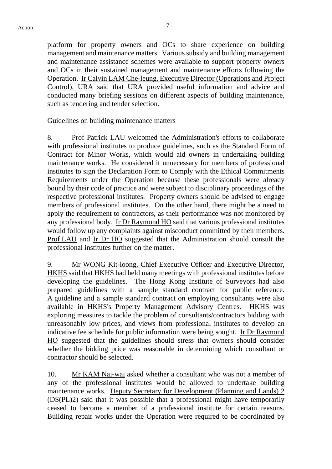platform for property owners and OCs to share experience on building management and maintenance matters. Various subsidy and building management and maintenance assistance schemes were available to support property owners and OCs in their sustained management and maintenance efforts following the Operation. Ir Calvin LAM Che-leung, Executive Director (Operations and Project Control), URA said that URA provided useful information and advice and conducted many briefing sessions on different aspects of building maintenance, such as tendering and tender selection.

#### Guidelines on building maintenance matters

8. Prof Patrick LAU welcomed the Administration's efforts to collaborate with professional institutes to produce guidelines, such as the Standard Form of Contract for Minor Works, which would aid owners in undertaking building maintenance works. He considered it unnecessary for members of professional institutes to sign the Declaration Form to Comply with the Ethical Commitments Requirements under the Operation because these professionals were already bound by their code of practice and were subject to disciplinary proceedings of the respective professional institutes. Property owners should be advised to engage members of professional institutes. On the other hand, there might be a need to apply the requirement to contractors, as their performance was not monitored by any professional body. Ir Dr Raymond HO said that various professional institutes would follow up any complaints against misconduct committed by their members. Prof LAU and Ir Dr HO suggested that the Administration should consult the professional institutes further on the matter.

9. Mr WONG Kit-loong, Chief Executive Officer and Executive Director, HKHS said that HKHS had held many meetings with professional institutes before developing the guidelines. The Hong Kong Institute of Surveyors had also prepared guidelines with a sample standard contract for public reference. A guideline and a sample standard contract on employing consultants were also available in HKHS's Property Management Advisory Centres. HKHS was exploring measures to tackle the problem of consultants/contractors bidding with unreasonably low prices, and views from professional institutes to develop an indicative fee schedule for public information were being sought. Ir Dr Raymond HO suggested that the guidelines should stress that owners should consider whether the bidding price was reasonable in determining which consultant or contractor should be selected.

10. Mr KAM Nai-wai asked whether a consultant who was not a member of any of the professional institutes would be allowed to undertake building maintenance works. Deputy Secretary for Development (Planning and Lands) 2 (DS(PL)2) said that it was possible that a professional might have temporarily ceased to become a member of a professional institute for certain reasons. Building repair works under the Operation were required to be coordinated by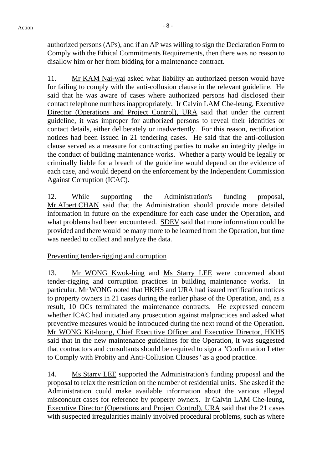authorized persons (APs), and if an AP was willing to sign the Declaration Form to Comply with the Ethical Commitments Requirements, then there was no reason to disallow him or her from bidding for a maintenance contract.

11. Mr KAM Nai-wai asked what liability an authorized person would have for failing to comply with the anti-collusion clause in the relevant guideline. He said that he was aware of cases where authorized persons had disclosed their contact telephone numbers inappropriately. Ir Calvin LAM Che-leung, Executive Director (Operations and Project Control), URA said that under the current guideline, it was improper for authorized persons to reveal their identities or contact details, either deliberately or inadvertently. For this reason, rectification notices had been issued in 21 tendering cases. He said that the anti-collusion clause served as a measure for contracting parties to make an integrity pledge in the conduct of building maintenance works. Whether a party would be legally or criminally liable for a breach of the guideline would depend on the evidence of each case, and would depend on the enforcement by the Independent Commission Against Corruption (ICAC).

12. While supporting the Administration's funding proposal, Mr Albert CHAN said that the Administration should provide more detailed information in future on the expenditure for each case under the Operation, and what problems had been encountered. SDEV said that more information could be provided and there would be many more to be learned from the Operation, but time was needed to collect and analyze the data.

# Preventing tender-rigging and corruption

13. Mr WONG Kwok-hing and Ms Starry LEE were concerned about tender-rigging and corruption practices in building maintenance works. In particular, Mr WONG noted that HKHS and URA had issued rectification notices to property owners in 21 cases during the earlier phase of the Operation, and, as a result, 10 OCs terminated the maintenance contracts. He expressed concern whether ICAC had initiated any prosecution against malpractices and asked what preventive measures would be introduced during the next round of the Operation. Mr WONG Kit-loong, Chief Executive Officer and Executive Director, HKHS said that in the new maintenance guidelines for the Operation, it was suggested that contractors and consultants should be required to sign a "Confirmation Letter to Comply with Probity and Anti-Collusion Clauses" as a good practice.

14. Ms Starry LEE supported the Administration's funding proposal and the proposal to relax the restriction on the number of residential units. She asked if the Administration could make available information about the various alleged misconduct cases for reference by property owners. Ir Calvin LAM Che-leung, Executive Director (Operations and Project Control), URA said that the 21 cases with suspected irregularities mainly involved procedural problems, such as where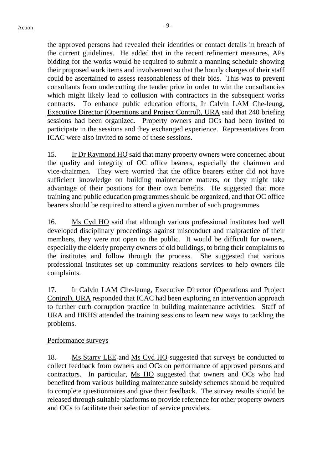the approved persons had revealed their identities or contact details in breach of the current guidelines. He added that in the recent refinement measures, APs bidding for the works would be required to submit a manning schedule showing their proposed work items and involvement so that the hourly charges of their staff could be ascertained to assess reasonableness of their bids. This was to prevent consultants from undercutting the tender price in order to win the consultancies which might likely lead to collusion with contractors in the subsequent works contracts. To enhance public education efforts, Ir Calvin LAM Che-leung, Executive Director (Operations and Project Control), URA said that 240 briefing sessions had been organized. Property owners and OCs had been invited to participate in the sessions and they exchanged experience. Representatives from ICAC were also invited to some of these sessions.

15. Ir Dr Raymond HO said that many property owners were concerned about the quality and integrity of OC office bearers, especially the chairmen and vice-chairmen. They were worried that the office bearers either did not have sufficient knowledge on building maintenance matters, or they might take advantage of their positions for their own benefits. He suggested that more training and public education programmes should be organized, and that OC office bearers should be required to attend a given number of such programmes.

16. Ms Cyd HO said that although various professional institutes had well developed disciplinary proceedings against misconduct and malpractice of their members, they were not open to the public. It would be difficult for owners, especially the elderly property owners of old buildings, to bring their complaints to the institutes and follow through the process. She suggested that various professional institutes set up community relations services to help owners file complaints.

17. Ir Calvin LAM Che-leung, Executive Director (Operations and Project Control), URA responded that ICAC had been exploring an intervention approach to further curb corruption practice in building maintenance activities. Staff of URA and HKHS attended the training sessions to learn new ways to tackling the problems.

## Performance surveys

18. Ms Starry LEE and Ms Cyd HO suggested that surveys be conducted to collect feedback from owners and OCs on performance of approved persons and contractors. In particular, Ms HO suggested that owners and OCs who had benefited from various building maintenance subsidy schemes should be required to complete questionnaires and give their feedback. The survey results should be released through suitable platforms to provide reference for other property owners and OCs to facilitate their selection of service providers.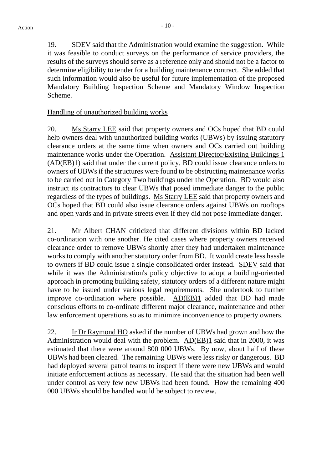19. SDEV said that the Administration would examine the suggestion. While it was feasible to conduct surveys on the performance of service providers, the results of the surveys should serve as a reference only and should not be a factor to determine eligibility to tender for a building maintenance contract. She added that such information would also be useful for future implementation of the proposed Mandatory Building Inspection Scheme and Mandatory Window Inspection Scheme.

## Handling of unauthorized building works

20. Ms Starry LEE said that property owners and OCs hoped that BD could help owners deal with unauthorized building works (UBWs) by issuing statutory clearance orders at the same time when owners and OCs carried out building maintenance works under the Operation. Assistant Director/Existing Buildings 1 (AD(EB)1) said that under the current policy, BD could issue clearance orders to owners of UBWs if the structures were found to be obstructing maintenance works to be carried out in Category Two buildings under the Operation. BD would also instruct its contractors to clear UBWs that posed immediate danger to the public regardless of the types of buildings. Ms Starry LEE said that property owners and OCs hoped that BD could also issue clearance orders against UBWs on rooftops and open yards and in private streets even if they did not pose immediate danger.

21. Mr Albert CHAN criticized that different divisions within BD lacked co-ordination with one another. He cited cases where property owners received clearance order to remove UBWs shortly after they had undertaken maintenance works to comply with another statutory order from BD. It would create less hassle to owners if BD could issue a single consolidated order instead. SDEV said that while it was the Administration's policy objective to adopt a building-oriented approach in promoting building safety, statutory orders of a different nature might have to be issued under various legal requirements. She undertook to further improve co-ordination where possible. AD(EB)1 added that BD had made conscious efforts to co-ordinate different major clearance, maintenance and other law enforcement operations so as to minimize inconvenience to property owners.

22. Ir Dr Raymond HO asked if the number of UBWs had grown and how the Administration would deal with the problem. AD(EB)1 said that in 2000, it was estimated that there were around 800 000 UBWs. By now, about half of these UBWs had been cleared. The remaining UBWs were less risky or dangerous. BD had deployed several patrol teams to inspect if there were new UBWs and would initiate enforcement actions as necessary. He said that the situation had been well under control as very few new UBWs had been found. How the remaining 400 000 UBWs should be handled would be subject to review.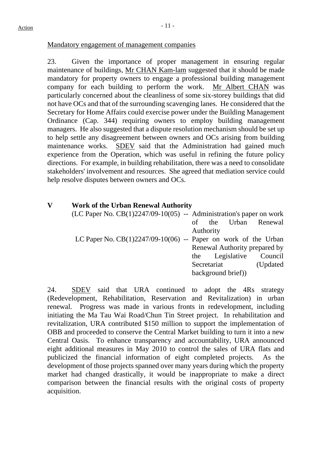#### Mandatory engagement of management companies

23. Given the importance of proper management in ensuring regular maintenance of buildings, Mr CHAN Kam-lam suggested that it should be made mandatory for property owners to engage a professional building management company for each building to perform the work. Mr Albert CHAN was particularly concerned about the cleanliness of some six-storey buildings that did not have OCs and that of the surrounding scavenging lanes. He considered that the Secretary for Home Affairs could exercise power under the Building Management Ordinance (Cap. 344) requiring owners to employ building management managers. He also suggested that a dispute resolution mechanism should be set up to help settle any disagreement between owners and OCs arising from building maintenance works. SDEV said that the Administration had gained much experience from the Operation, which was useful in refining the future policy directions. For example, in building rehabilitation, there was a need to consolidate stakeholders' involvement and resources. She agreed that mediation service could help resolve disputes between owners and OCs.

## **V Work of the Urban Renewal Authority**

| (LC Paper No. $CB(1)2247/09-10(05)$ -- Administration's paper on work |             |                   |                               |
|-----------------------------------------------------------------------|-------------|-------------------|-------------------------------|
|                                                                       |             |                   | of the Urban Renewal          |
|                                                                       | Authority   |                   |                               |
| LC Paper No. $CB(1)2247/09-10(06)$ -- Paper on work of the Urban      |             |                   |                               |
|                                                                       |             |                   | Renewal Authority prepared by |
|                                                                       |             | the Legislative   | Council                       |
|                                                                       | Secretariat | (Updated)         |                               |
|                                                                       |             | background brief) |                               |

24. SDEV said that URA continued to adopt the 4Rs strategy (Redevelopment, Rehabilitation, Reservation and Revitalization) in urban renewal. Progress was made in various fronts in redevelopment, including initiating the Ma Tau Wai Road/Chun Tin Street project. In rehabilitation and revitalization, URA contributed \$150 million to support the implementation of OBB and proceeded to conserve the Central Market building to turn it into a new Central Oasis. To enhance transparency and accountability, URA announced eight additional measures in May 2010 to control the sales of URA flats and publicized the financial information of eight completed projects. As the development of those projects spanned over many years during which the property market had changed drastically, it would be inappropriate to make a direct comparison between the financial results with the original costs of property acquisition.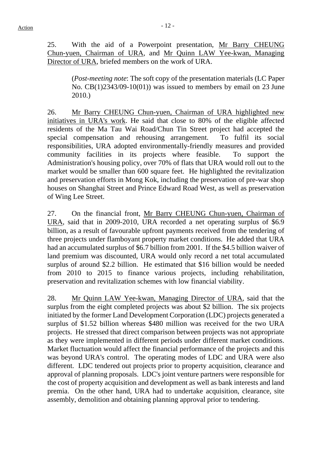25. With the aid of a Powerpoint presentation, Mr Barry CHEUNG Chun-yuen, Chairman of URA, and Mr Quinn LAW Yee-kwan, Managing Director of URA, briefed members on the work of URA.

> (*Post-meeting note*: The soft copy of the presentation materials (LC Paper No. CB(1)2343/09-10(01)) was issued to members by email on 23 June 2010.)

26. Mr Barry CHEUNG Chun-yuen, Chairman of URA highlighted new initiatives in URA's work. He said that close to 80% of the eligible affected residents of the Ma Tau Wai Road/Chun Tin Street project had accepted the special compensation and rehousing arrangement. To fulfil its social responsibilities, URA adopted environmentally-friendly measures and provided community facilities in its projects where feasible. To support the Administration's housing policy, over 70% of flats that URA would roll out to the market would be smaller than 600 square feet. He highlighted the revitalization and preservation efforts in Mong Kok, including the preservation of pre-war shop houses on Shanghai Street and Prince Edward Road West, as well as preservation of Wing Lee Street.

27. On the financial front, Mr Barry CHEUNG Chun-yuen, Chairman of URA, said that in 2009-2010, URA recorded a net operating surplus of \$6.9 billion, as a result of favourable upfront payments received from the tendering of three projects under flamboyant property market conditions. He added that URA had an accumulated surplus of \$6.7 billion from 2001. If the \$4.5 billion waiver of land premium was discounted, URA would only record a net total accumulated surplus of around \$2.2 billion. He estimated that \$16 billion would be needed from 2010 to 2015 to finance various projects, including rehabilitation, preservation and revitalization schemes with low financial viability.

28. Mr Quinn LAW Yee-kwan, Managing Director of URA, said that the surplus from the eight completed projects was about \$2 billion. The six projects initiated by the former Land Development Corporation (LDC) projects generated a surplus of \$1.52 billion whereas \$480 million was received for the two URA projects. He stressed that direct comparison between projects was not appropriate as they were implemented in different periods under different market conditions. Market fluctuation would affect the financial performance of the projects and this was beyond URA's control. The operating modes of LDC and URA were also different. LDC tendered out projects prior to property acquisition, clearance and approval of planning proposals. LDC's joint venture partners were responsible for the cost of property acquisition and development as well as bank interests and land premia. On the other hand, URA had to undertake acquisition, clearance, site assembly, demolition and obtaining planning approval prior to tendering.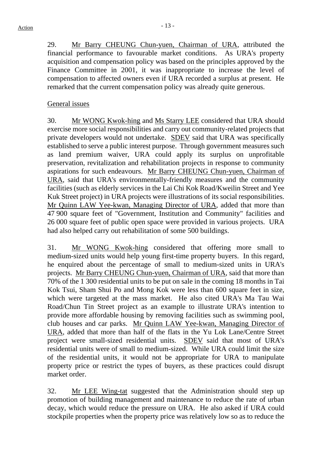29. Mr Barry CHEUNG Chun-yuen, Chairman of URA, attributed the financial performance to favourable market conditions. As URA's property acquisition and compensation policy was based on the principles approved by the Finance Committee in 2001, it was inappropriate to increase the level of compensation to affected owners even if URA recorded a surplus at present. He remarked that the current compensation policy was already quite generous.

# General issues

30. Mr WONG Kwok-hing and Ms Starry LEE considered that URA should exercise more social responsibilities and carry out community-related projects that private developers would not undertake. SDEV said that URA was specifically established to serve a public interest purpose. Through government measures such as land premium waiver, URA could apply its surplus on unprofitable preservation, revitalization and rehabilitation projects in response to community aspirations for such endeavours. Mr Barry CHEUNG Chun-yuen, Chairman of URA, said that URA's environmentally-friendly measures and the community facilities (such as elderly services in the Lai Chi Kok Road/Kweilin Street and Yee Kuk Street project) in URA projects were illustrations of its social responsibilities. Mr Quinn LAW Yee-kwan, Managing Director of URA, added that more than 47 900 square feet of "Government, Institution and Community" facilities and 26 000 square feet of public open space were provided in various projects. URA had also helped carry out rehabilitation of some 500 buildings.

31. Mr WONG Kwok-hing considered that offering more small to medium-sized units would help young first-time property buyers. In this regard, he enquired about the percentage of small to medium-sized units in URA's projects. Mr Barry CHEUNG Chun-yuen, Chairman of URA, said that more than 70% of the 1 300 residential units to be put on sale in the coming 18 months in Tai Kok Tsui, Sham Shui Po and Mong Kok were less than 600 square feet in size. which were targeted at the mass market. He also cited URA's Ma Tau Wai Road/Chun Tin Street project as an example to illustrate URA's intention to provide more affordable housing by removing facilities such as swimming pool, club houses and car parks. Mr Quinn LAW Yee-kwan, Managing Director of URA, added that more than half of the flats in the Yu Lok Lane/Centre Street project were small-sized residential units. SDEV said that most of URA's residential units were of small to medium-sized. While URA could limit the size of the residential units, it would not be appropriate for URA to manipulate property price or restrict the types of buyers, as these practices could disrupt market order.

32. Mr LEE Wing-tat suggested that the Administration should step up promotion of building management and maintenance to reduce the rate of urban decay, which would reduce the pressure on URA. He also asked if URA could stockpile properties when the property price was relatively low so as to reduce the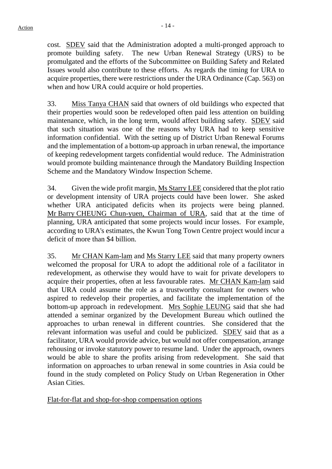cost. SDEV said that the Administration adopted a multi-pronged approach to promote building safety. The new Urban Renewal Strategy (URS) to be promulgated and the efforts of the Subcommittee on Building Safety and Related Issues would also contribute to these efforts. As regards the timing for URA to acquire properties, there were restrictions under the URA Ordinance (Cap. 563) on when and how URA could acquire or hold properties.

33. Miss Tanya CHAN said that owners of old buildings who expected that their properties would soon be redeveloped often paid less attention on building maintenance, which, in the long term, would affect building safety. SDEV said that such situation was one of the reasons why URA had to keep sensitive information confidential. With the setting up of District Urban Renewal Forums and the implementation of a bottom-up approach in urban renewal, the importance of keeping redevelopment targets confidential would reduce. The Administration would promote building maintenance through the Mandatory Building Inspection Scheme and the Mandatory Window Inspection Scheme.

34. Given the wide profit margin, Ms Starry LEE considered that the plot ratio or development intensity of URA projects could have been lower. She asked whether URA anticipated deficits when its projects were being planned. Mr Barry CHEUNG Chun-yuen, Chairman of URA, said that at the time of planning, URA anticipated that some projects would incur losses. For example, according to URA's estimates, the Kwun Tong Town Centre project would incur a deficit of more than \$4 billion.

35. Mr CHAN Kam-lam and Ms Starry LEE said that many property owners welcomed the proposal for URA to adopt the additional role of a facilitator in redevelopment, as otherwise they would have to wait for private developers to acquire their properties, often at less favourable rates. Mr CHAN Kam-lam said that URA could assume the role as a trustworthy consultant for owners who aspired to redevelop their properties, and facilitate the implementation of the bottom-up approach in redevelopment. Mrs Sophie LEUNG said that she had attended a seminar organized by the Development Bureau which outlined the approaches to urban renewal in different countries. She considered that the relevant information was useful and could be publicized. SDEV said that as a facilitator, URA would provide advice, but would not offer compensation, arrange rehousing or invoke statutory power to resume land. Under the approach, owners would be able to share the profits arising from redevelopment. She said that information on approaches to urban renewal in some countries in Asia could be found in the study completed on Policy Study on Urban Regeneration in Other Asian Cities.

Flat-for-flat and shop-for-shop compensation options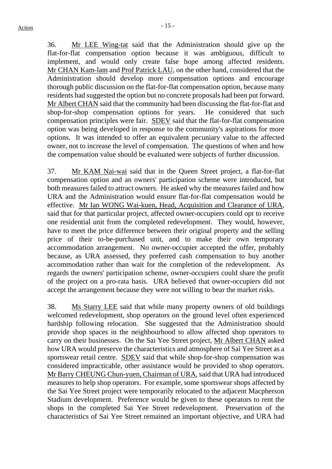36. Mr LEE Wing-tat said that the Administration should give up the flat-for-flat compensation option because it was ambiguous, difficult to implement, and would only create false hope among affected residents. Mr CHAN Kam-lam and Prof Patrick LAU, on the other hand, considered that the Administration should develop more compensation options and encourage thorough public discussion on the flat-for-flat compensation option, because many residents had suggested the option but no concrete proposals had been put forward. Mr Albert CHAN said that the community had been discussing the flat-for-flat and shop-for-shop compensation options for years. He considered that such compensation principles were fair. SDEV said that the flat-for-flat compensation option was being developed in response to the community's aspirations for more options. It was intended to offer an equivalent pecuniary value to the affected owner, not to increase the level of compensation. The questions of when and how the compensation value should be evaluated were subjects of further discussion.

37. Mr KAM Nai-wai said that in the Queen Street project, a flat-for-flat compensation option and an owners' participation scheme were introduced, but both measures failed to attract owners. He asked why the measures failed and how URA and the Administration would ensure flat-for-flat compensation would be effective. Mr Ian WONG Wai-kuen, Head, Acquisition and Clearance of URA, said that for that particular project, affected owner-occupiers could opt to receive one residential unit from the completed redevelopment. They would, however, have to meet the price difference between their original property and the selling price of their to-be-purchased unit, and to make their own temporary accommodation arrangement. No owner-occupier accepted the offer, probably because, as URA assessed, they preferred cash compensation to buy another accommodation rather than wait for the completion of the redevelopment. As regards the owners' participation scheme, owner-occupiers could share the profit of the project on a pro-rata basis. URA believed that owner-occupiers did not accept the arrangement because they were not willing to bear the market risks.

38. Ms Starry LEE said that while many property owners of old buildings welcomed redevelopment, shop operators on the ground level often experienced hardship following relocation. She suggested that the Administration should provide shop spaces in the neighbourhood to allow affected shop operators to carry on their businesses. On the Sai Yee Street project, Mr Albert CHAN asked how URA would preserve the characteristics and atmosphere of Sai Yee Street as a sportswear retail centre. SDEV said that while shop-for-shop compensation was considered impracticable, other assistance would be provided to shop operators. Mr Barry CHEUNG Chun-yuen, Chairman of URA, said that URA had introduced measures to help shop operators. For example, some sportswear shops affected by the Sai Yee Street project were temporarily relocated to the adjacent Macpherson Stadium development. Preference would be given to these operators to rent the shops in the completed Sai Yee Street redevelopment. Preservation of the characteristics of Sai Yee Street remained an important objective, and URA had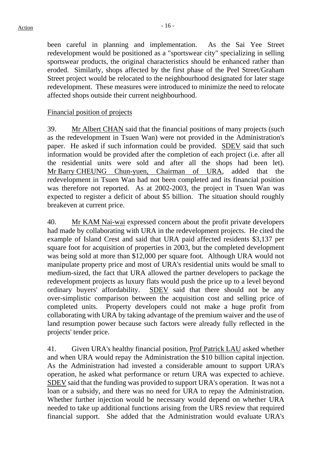been careful in planning and implementation. As the Sai Yee Street redevelopment would be positioned as a "sportswear city" specializing in selling sportswear products, the original characteristics should be enhanced rather than eroded. Similarly, shops affected by the first phase of the Peel Street/Graham Street project would be relocated to the neighbourhood designated for later stage redevelopment. These measures were introduced to minimize the need to relocate affected shops outside their current neighbourhood.

#### Financial position of projects

39. Mr Albert CHAN said that the financial positions of many projects (such as the redevelopment in Tsuen Wan) were not provided in the Administration's paper. He asked if such information could be provided. SDEV said that such information would be provided after the completion of each project (i.e. after all the residential units were sold and after all the shops had been let). Mr Barry CHEUNG Chun-yuen, Chairman of URA, added that the redevelopment in Tsuen Wan had not been completed and its financial position was therefore not reported. As at 2002-2003, the project in Tsuen Wan was expected to register a deficit of about \$5 billion. The situation should roughly breakeven at current price.

40. Mr KAM Nai-wai expressed concern about the profit private developers had made by collaborating with URA in the redevelopment projects. He cited the example of Island Crest and said that URA paid affected residents \$3,137 per square foot for acquisition of properties in 2003, but the completed development was being sold at more than \$12,000 per square foot. Although URA would not manipulate property price and most of URA's residential units would be small to medium-sized, the fact that URA allowed the partner developers to package the redevelopment projects as luxury flats would push the price up to a level beyond ordinary buyers' affordability. SDEV said that there should not be any over-simplistic comparison between the acquisition cost and selling price of completed units. Property developers could not make a huge profit from collaborating with URA by taking advantage of the premium waiver and the use of land resumption power because such factors were already fully reflected in the projects' tender price.

41. Given URA's healthy financial position, Prof Patrick LAU asked whether and when URA would repay the Administration the \$10 billion capital injection. As the Administration had invested a considerable amount to support URA's operation, he asked what performance or return URA was expected to achieve. SDEV said that the funding was provided to support URA's operation. It was not a loan or a subsidy, and there was no need for URA to repay the Administration. Whether further injection would be necessary would depend on whether URA needed to take up additional functions arising from the URS review that required financial support. She added that the Administration would evaluate URA's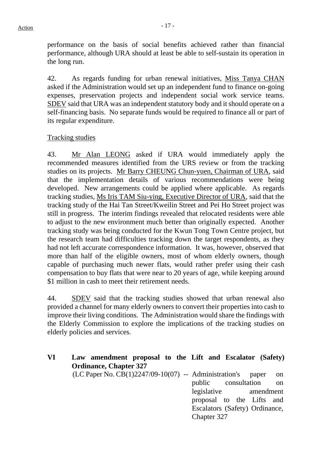performance on the basis of social benefits achieved rather than financial performance, although URA should at least be able to self-sustain its operation in the long run.

42. As regards funding for urban renewal initiatives, Miss Tanya CHAN asked if the Administration would set up an independent fund to finance on-going expenses, preservation projects and independent social work service teams. SDEV said that URA was an independent statutory body and it should operate on a self-financing basis. No separate funds would be required to finance all or part of its regular expenditure.

## Tracking studies

43. Mr Alan LEONG asked if URA would immediately apply the recommended measures identified from the URS review or from the tracking studies on its projects. Mr Barry CHEUNG Chun-yuen, Chairman of URA, said that the implementation details of various recommendations were being developed. New arrangements could be applied where applicable. As regards tracking studies, Ms Iris TAM Siu-ying, Executive Director of URA, said that the tracking study of the Hai Tan Street/Kweilin Street and Pei Ho Street project was still in progress. The interim findings revealed that relocated residents were able to adjust to the new environment much better than originally expected. Another tracking study was being conducted for the Kwun Tong Town Centre project, but the research team had difficulties tracking down the target respondents, as they had not left accurate correspondence information. It was, however, observed that more than half of the eligible owners, most of whom elderly owners, though capable of purchasing much newer flats, would rather prefer using their cash compensation to buy flats that were near to 20 years of age, while keeping around \$1 million in cash to meet their retirement needs.

44. SDEV said that the tracking studies showed that urban renewal also provided a channel for many elderly owners to convert their properties into cash to improve their living conditions. The Administration would share the findings with the Elderly Commission to explore the implications of the tracking studies on elderly policies and services.

| VI | Law amendment proposal to the Lift and Escalator (Safety)       |  |                                |  |      |
|----|-----------------------------------------------------------------|--|--------------------------------|--|------|
|    | <b>Ordinance, Chapter 327</b>                                   |  |                                |  |      |
|    | $(LC$ Paper No. $CB(1)2247/09-10(07)$ -- Administration's paper |  |                                |  | - on |
|    |                                                                 |  | public consultation            |  | - on |
|    |                                                                 |  | legislative amendment          |  |      |
|    |                                                                 |  | proposal to the Lifts and      |  |      |
|    |                                                                 |  | Escalators (Safety) Ordinance, |  |      |
|    |                                                                 |  | Chapter 327                    |  |      |
|    |                                                                 |  |                                |  |      |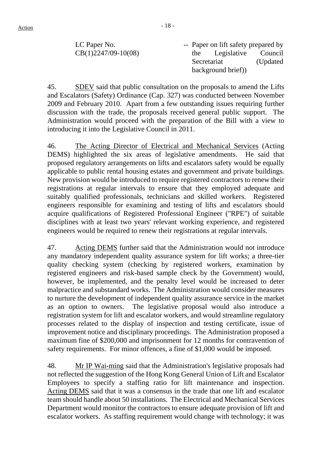LC Paper No. CB(1)2247/09-10(08) -- Paper on lift safety prepared by the Legislative Council Secretariat (Updated background brief))

45. SDEV said that public consultation on the proposals to amend the Lifts and Escalators (Safety) Ordinance (Cap. 327) was conducted between November 2009 and February 2010. Apart from a few outstanding issues requiring further discussion with the trade, the proposals received general public support. The Administration would proceed with the preparation of the Bill with a view to introducing it into the Legislative Council in 2011.

46. The Acting Director of Electrical and Mechanical Services (Acting DEMS) highlighted the six areas of legislative amendments. He said that proposed regulatory arrangements on lifts and escalators safety would be equally applicable to public rental housing estates and government and private buildings. New provision would be introduced to require registered contractors to renew their registrations at regular intervals to ensure that they employed adequate and suitably qualified professionals, technicians and skilled workers. Registered engineers responsible for examining and testing of lifts and escalators should acquire qualifications of Registered Professional Engineer ("RPE") of suitable disciplines with at least two years' relevant working experience, and registered engineers would be required to renew their registrations at regular intervals.

47. Acting DEMS further said that the Administration would not introduce any mandatory independent quality assurance system for lift works; a three-tier quality checking system (checking by registered workers, examination by registered engineers and risk-based sample check by the Government) would, however, be implemented, and the penalty level would be increased to deter malpractice and substandard works. The Administration would consider measures to nurture the development of independent quality assurance service in the market as an option to owners. The legislative proposal would also introduce a registration system for lift and escalator workers, and would streamline regulatory processes related to the display of inspection and testing certificate, issue of improvement notice and disciplinary proceedings. The Administration proposed a maximum fine of \$200,000 and imprisonment for 12 months for contravention of safety requirements. For minor offences, a fine of \$1,000 would be imposed.

48. Mr IP Wai-ming said that the Administration's legislative proposals had not reflected the suggestion of the Hong Kong General Union of Lift and Escalator Employees to specify a staffing ratio for lift maintenance and inspection. Acting DEMS said that it was a consensus in the trade that one lift and escalator team should handle about 50 installations. The Electrical and Mechanical Services Department would monitor the contractors to ensure adequate provision of lift and escalator workers. As staffing requirement would change with technology; it was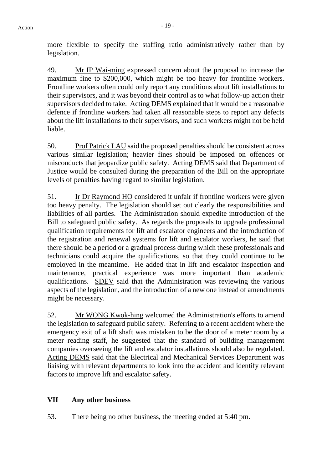more flexible to specify the staffing ratio administratively rather than by legislation.

49. Mr IP Wai-ming expressed concern about the proposal to increase the maximum fine to \$200,000, which might be too heavy for frontline workers. Frontline workers often could only report any conditions about lift installations to their supervisors, and it was beyond their control as to what follow-up action their supervisors decided to take. Acting DEMS explained that it would be a reasonable defence if frontline workers had taken all reasonable steps to report any defects about the lift installations to their supervisors, and such workers might not be held liable.

50. Prof Patrick LAU said the proposed penalties should be consistent across various similar legislation; heavier fines should be imposed on offences or misconducts that jeopardize public safety. Acting DEMS said that Department of Justice would be consulted during the preparation of the Bill on the appropriate levels of penalties having regard to similar legislation.

51. Ir Dr Raymond HO considered it unfair if frontline workers were given too heavy penalty. The legislation should set out clearly the responsibilities and liabilities of all parties. The Administration should expedite introduction of the Bill to safeguard public safety. As regards the proposals to upgrade professional qualification requirements for lift and escalator engineers and the introduction of the registration and renewal systems for lift and escalator workers, he said that there should be a period or a gradual process during which these professionals and technicians could acquire the qualifications, so that they could continue to be employed in the meantime. He added that in lift and escalator inspection and maintenance, practical experience was more important than academic qualifications. SDEV said that the Administration was reviewing the various aspects of the legislation, and the introduction of a new one instead of amendments might be necessary.

52. Mr WONG Kwok-hing welcomed the Administration's efforts to amend the legislation to safeguard public safety. Referring to a recent accident where the emergency exit of a lift shaft was mistaken to be the door of a meter room by a meter reading staff, he suggested that the standard of building management companies overseeing the lift and escalator installations should also be regulated. Acting DEMS said that the Electrical and Mechanical Services Department was liaising with relevant departments to look into the accident and identify relevant factors to improve lift and escalator safety.

# **VII Any other business**

53. There being no other business, the meeting ended at 5:40 pm.